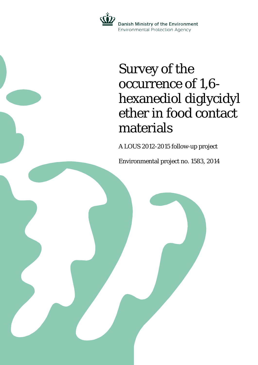

# Survey of the occurrence of 1,6 hexanediol diglycidyl ether in food contact materials

A LOUS 2012-2015 follow-up project

Environmental project no. 1583, 2014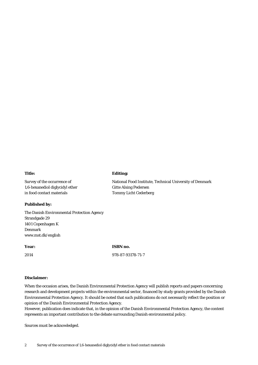#### **Title:**

Survey of the occurrence of 1,6-hexanediol diglycidyl ether in food contact materials

#### **Published by:**

The Danish Environmental Protection Agency Strandgade 29 1401 Copenhagen K Denmark www.mst.dk/english

#### **Year:**

2014

**ISBN no.**

**Editing:**

Gitte Alsing Pedersen Tommy Licht Cederberg

National Food Institute, Technical University of Denmark

978-87-93178-71-7

## **Disclaimer:**

When the occasion arises, the Danish Environmental Protection Agency will publish reports and papers concerning research and development projects within the environmental sector, financed by study grants provided by the Danish Environmental Protection Agency. It should be noted that such publications do not necessarily reflect the position or opinion of the Danish Environmental Protection Agency.

However, publication does indicate that, in the opinion of the Danish Environmental Protection Agency, the content represents an important contribution to the debate surrounding Danish environmental policy.

Sources must be acknowledged.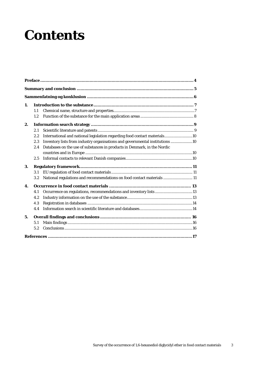# **Contents**

| 1. |         |                                                                              |  |  |  |  |
|----|---------|------------------------------------------------------------------------------|--|--|--|--|
|    | 1.1     |                                                                              |  |  |  |  |
|    | 1.2.    |                                                                              |  |  |  |  |
| 2. |         |                                                                              |  |  |  |  |
|    | 2.1     |                                                                              |  |  |  |  |
|    | 2.2     | International and national legislation regarding food contact materials10    |  |  |  |  |
|    | 2.3     | Inventory lists from industry organisations and governmental institutions 10 |  |  |  |  |
|    | 2.4     | Databases on the use of substances in products in Denmark, in the Nordic     |  |  |  |  |
|    |         |                                                                              |  |  |  |  |
|    | 2.5     |                                                                              |  |  |  |  |
| 3. |         |                                                                              |  |  |  |  |
|    | 3.1     |                                                                              |  |  |  |  |
|    | $3.2\,$ | National regulations and recommendations on food contact materials  11       |  |  |  |  |
| 4. |         |                                                                              |  |  |  |  |
|    | 4.1     |                                                                              |  |  |  |  |
|    | 4.2     |                                                                              |  |  |  |  |
|    | 4.3     |                                                                              |  |  |  |  |
|    | 4.4     |                                                                              |  |  |  |  |
| 5. |         |                                                                              |  |  |  |  |
|    | 5.1     |                                                                              |  |  |  |  |
|    | 5.2     |                                                                              |  |  |  |  |
|    |         |                                                                              |  |  |  |  |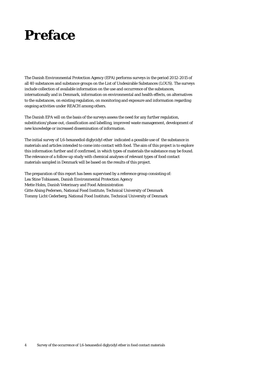## <span id="page-3-0"></span>**Preface**

The Danish Environmental Protection Agency (EPA) performs surveys in the period 2012-2015 of all 40 substances and substance groups on the List of Undesirable Substances (LOUS). The surveys include collection of available information on the use and occurrence of the substances, internationally and in Denmark, information on environmental and health effects, on alternatives to the substances, on existing regulation, on monitoring and exposure and information regarding ongoing activities under REACH among others.

The Danish EPA will on the basis of the surveys assess the need for any further regulation, substitution/phase out, classification and labelling, improved waste management, development of new knowledge or increased dissemination of information.

The initial survey of 1,6-hexanediol diglycidyl ether indicated a possible use of the substance in materials and articles intended to come into contact with food. The aim of this project is to explore this information further and if confirmed, in which types of materials the substance may be found. The relevance of a follow-up study with chemical analyses of relevant types of food contact materials sampled in Denmark will be based on the results of this project.

The preparation of this report has been supervised by a reference group consisting of: Lea Stine Tobiassen, Danish Environmental Protection Agency Mette Holm, Danish Veterinary and Food Administration Gitte Alsing Pedersen, National Food Institute, Technical University of Denmark Tommy Licht Cederberg, National Food Institute, Technical University of Denmark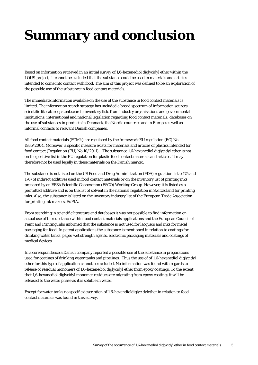# <span id="page-4-0"></span>**Summary and conclusion**

Based on information retrieved in an initial survey of 1,6-hexanediol diglycidyl ether within the LOUS-project, it cannot be excluded that the substance could be used in materials and articles intended to come into contact with food. The aim of this project was defined to be an exploration of the possible use of the substance in food contact materials.

The immediate information available on the use of the substance in food contact materials is limited. The information search strategy has included a broad spectrum of information sources: scientific literature; patent search; inventory lists from industry organisations and governmental institutions; international and national legislation regarding food contact materials; databases on the use of substances in products in Denmark, the Nordic countries and in Europe as well as informal contacts to relevant Danish companies.

All food contact materials (FCM's) are regulated by the framework EU regulation (EC) No 1935/2004. Moreover, a specific measure exists for materials and articles of plastics intended for food contact (Regulation (EU) No 10/2011). The substance 1,6-hexanediol diglycidyl ether is not on the positive list in the EU regulation for plastic food contact materials and articles. It may therefore not be used legally in these materials on the Danish market.

The substance is not listed on the US Food and Drug Administration (FDA) regulation lists (175 and 176) of indirect additives used in food contact materials or on the inventory list of printing inks prepared by an EFSA Scientific Cooperation (ESCO) Working Group. However; it is listed as a permitted additive and is on the list of solvent in the national regulation in Switzerland for printing inks. Also, the substance is listed on the inventory industry list of the European Trade Association for printing ink makers, EuPIA.

From searching in scientific literature and databases it was not possible to find information on actual use of the substance within food contact materials applications and the European Council of Paint and Printing Inks informed that the substance is not used for lacquers and inks for metal packaging for food. In patent applications the substance is mentioned in relation to coatings for drinking water tanks, paper wet strength agents, electronic packaging materials and coatings of medical devices.

In a correspondence a Danish company reported a possible use of the substance in preparations used for coatings of drinking water tanks and pipelines. Thus the use of of 1,6-hexanediol diglycidyl ether for this type of application cannot be excluded. No information was found with regards to release of residual monomers of 1,6-hexanediol diglycidyl ether from epoxy coatings. To the extent that 1,6-hexanediol diglycidyl monomer residues are migrating from epoxy coatings it will be released to the water phase as it is soluble in water.

Except for water tanks no specific description of 1,6-hexandioldiglycidylether in relation to food contact materials was found in this survey.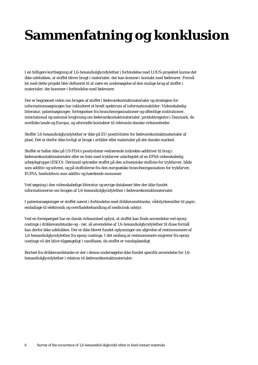# <span id="page-5-0"></span>**Sammenfatning og konklusion**

I en tidligere kortlægning af 1,6-hexandiolglycidylether i forbindelse med LOUS-projektet kunne det ikke udelukkes, at stoffet bliver brugt i materialer, der kan komme i kontakt med fødevarer. Formålet med dette projekt blev defineret til at være en undersøgelse af den mulige brug af stoffet i materialer, der kommer i forbindelse med fødevarer.

Der er begrænset viden om brugen af stoffet i fødevarekontaktmaterialer og strategien for informationssøgningen har inkluderet et bredt spektrum af informationskilder: Videnskabelig litteratur, patentsøgninger, fortegnelser fra brancheorganisationer og offentlige institutioner, international og national lovgivning om fødevarekontaktmaterialer, produktregistre i Danmark, de nordiske lande og Europa, og uformelle kontakter til relevante danske virksomheder.

Stoffet 1,6-hexandiolglycidylether er ikke på EU-positivlisten for fødevarekontaktmaterialer af plast. Det er derfor ikke lovligt at bruge i artikler eller materialer på det danske marked.

Stoffet er heller ikke på US FDA's positivlister vedrørende indirekte additiver til brug i fødevarekontaktmaterialer eller en liste med trykfarver udarbejdet af en EFSA videnskabelig arbejdsgruppe (ESCO). Derimod optræder stoffet på den schweiziske stofliste for trykfarver, både som additiv og solvent, og på stoflisterne fra den europæiske brancheorganisation for trykfarver, EUPIA, henholdsvis som additiv og hærdende monomer.

Ved søgning i den videnskabelige litteratur og øvrige databaser blev der ikke fundet informationerne om brugen af 1,6-hexandiolglycidylether i fødevarekontaktmaterialer.

I patentansøgninger er stoffet nævnt i forbindelse med drikkevandstanke, vådstyrkemidler til papir, emballage til elektronik og overfladebehandling af medicinsk udstyr.

Ved en forespørgsel har en dansk virksomhed oplyst, at stoffet kan finde anvendelse ved epoxy coatings i drikkevandstanke og –rør, så anvendelse af 1,6-hexandiolglycidylether til disse formål kan derfor ikke udelukkes. Der er ikke blevet fundet oplysninger om afgivelse af restmonomere af 1,6-hexandiolglycidylether fra epoxy coatings. I det omfang at restmonomere migrerer fra epoxy coatings vil det blive tilgængeligt i vandfasen, da stoffet er vandopløseligt.

Bortset fra drikkevandstanke er der i denne undersøgelse ikke fundet specifik anvendelse for 1,6 hexandiolglycidylether i relation til fødevarekontaktmaterialer.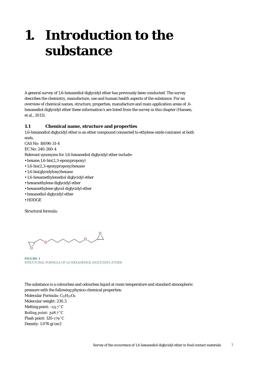## <span id="page-6-0"></span>**1. Introduction to the substance**

A general survey of 1,6-hexanediol diglycidyl ether has previously been conducted. The survey describes the chemistry, manufacture, use and human health aspects of the substance. For an overview of chemical names, structure, properties, manufacture and main application areas of ,6 hexanediol diglycidyl ether these information's are listed from the survey in this chapter (Hansen, et al., 2013).

#### <span id="page-6-1"></span>**1.1 Chemical name, structure and properties**

1,6-hexanediol diglycidyl ether is an ether compound connected to ethylene oxide (oxirane) at both ends.

CAS No: 16096-31-4

EC No: 240-260-4

Relevant synonyms for 1,6-hexanediol diglycidyl ether include:

- hexane,1,6-bis(2,3-epoxypropoxy)
- 1,6-bis(2,3-epoxypropoxy)hexane
- 1,6-bis(glycidyloxy)hexane
- 1,6-hexamethylenediol diglycidyl ether
- hexamethylene diglycidyl ether
- hexamethylene glycol diglycidyl ether
- hexanediol diglycidyl ether
- HDDGE

Structural formula:

 $\sim$   $^{\circ}$ 

**FIGURE 1** STRUCTURAL FORMULA OF 1,6-HEXANEDIOL DIGLYCIDYL ETHER

The substance is a colourless and odourless liquid at room temperature and standard atmospheric pressure with the following physico-chemical properties: Molecular Formula: C12H22O4 Molecular weight: 230.3 Melting point: -23.7˚C Boiling point: 328.7˚C Flash point: 120-179˚C Density: 1.076 g/cm3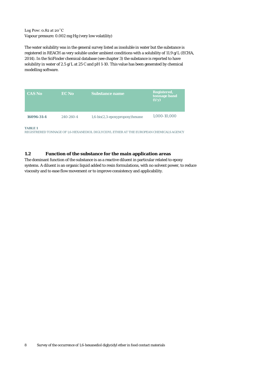## Log Pow: 0.82 at 20˚C Vapour pressure: 0.002 mg Hg (very low volatility)

The water solubility was in the general survey listed as insoluble in water but the substance is registered in REACH as very soluble under ambient conditions with a solubility of 11.9 g/L (ECHA, 2014). In the SciFinder chemical database (see chapter 3) the substance is reported to have solubility in water of 2.5 g/L at 25 C and pH 1-10. This value has been generated by chemical modelling software.

| <b>CAS No</b> | EC No     | <b>Substance name</b>              | Registered,<br>tonnage band<br>(t/y) |
|---------------|-----------|------------------------------------|--------------------------------------|
| 16096-31-4    | 240-260-4 | $1,6-bis(2,3-epoxypropoxy)$ hexane | 1,000-10,000                         |

#### **TABLE 1**

REGISTRERED TONNAGE OF 1,6-HEXANEDIOL DIGLYCIDYL ETHER AT THE EUROPEAN CHEMICALS AGENCY

## <span id="page-7-0"></span>**1.2 Function of the substance for the main application areas**

The dominant function of the substance is as a reactive diluent in particular related to epoxy systems. A diluent is an organic liquid added to resin formulations, with no solvent power, to reduce viscosity and to ease flow movement or to improve consistency and applicability.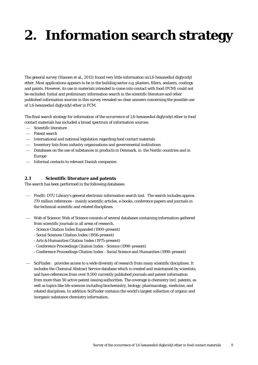# <span id="page-8-0"></span>**2. Information search strategy**

The general survey (Hansen et al., 2013) found very little information on1,6-hexanediol diglycidyl ether. Most applications appears to be in the building sector e.g. plasters, fillers, sealants, coatings and paints. However, its use in materials intended to come into contact with food (FCM) could not be excluded. Initial and preliminary information search in the scientific literature and other published information sources in this survey revealed no clear answers concerning the possible use of 1,6-hexanediol diglycidyl ether in FCM.

The final search strategy for information of the occurrence of 1,6-hexanediol diglycidyl ether in food contact materials has included a broad spectrum of information sources:

- Scientific literature
- Patent search
- International and national legislation regarding food contact materials
- Inventory lists from industry organisations and governmental institutions
- Databases on the use of substances in products in Denmark, in the Nordic countries and in Europe
- $-$  Informal contacts to relevant Danish companies

## <span id="page-8-1"></span>**2.1 Scientific literature and patents**

The search has been performed in the following databases:

- FindIt: DTU Library's general electronic information search tool. The search includes approx. 170 million references - mainly scientific articles, e-books, conference papers and journals in the technical-scientific and related disciplines.
- Web of Science: Web of Science consists of several databases containing information gathered from scientific journals in all areas of research.
	- Science Citation Index Expanded (1900-present)
	- Social Sciences Citation Index (1956-present)
	- Arts & Humanities Citation Index (1975-present)
	- Conference Proceedings Citation Index Science (1990-present)
	- Conference Proceedings Citation Index Social Science and Humanities (1990-present)
- SciFinder: provides access to a wide diversity of research from many scientific disciplines. It includes the Chemical Abstract Service database which is created and maintained by scientists, and have references from over 9,500 currently published journals and patent information from more than 50 active patent issuing authorities. The coverage is chemistry incl. patents, as well as topics like life sciences including biochemistry, biology, pharmacology, medicine, and related disciplines. In addition SciFinder contains the world's largest collection of organic and inorganic substance chemistry information.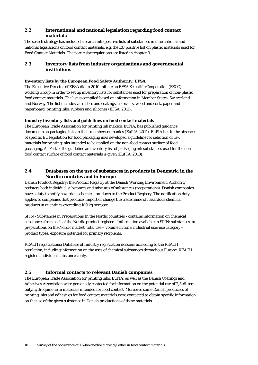## <span id="page-9-0"></span>**2.2 International and national legislation regarding food contact materials**

The search strategy has included a search into positive lists of substances in international and national legislations on food contact materials, e.g. the EU positive list on plastic materials used for Food Contact Materials. The particular regulations are listed in chapter 3.

## <span id="page-9-1"></span>**2.3 Inventory lists from industry organisations and governmental institutions**

## **Inventory lists by the European Food Safety Authority, EFSA**

The Executive Director of EFSA did in 2010 initiate an EFSA Scientific Cooperation (ESCO) working Group in order to set up inventory lists for substances used for preparation of non-plastic food contact materials. The list is compiled based on information in Member States, Switzerland and Norway. The list includes varnishes and coatings, colorants, wood and cork, paper and paperboard, printing inks, rubbers and silicones (EFSA, 2011).

## **Industry inventory lists and guidelines on food contact materials**

The European Trade Association for printing ink makers, EuPIA, has published guidance documents on packaging inks to their member companies (EuPIA, 2011). EuPIA has in the absence of specific EU legislation for food packaging inks developed a guideline for selection of raw materials for printing inks intended to be applied on the non-food contact surface of food packaging. As Part of the guideline an inventory list of packaging ink substances used for the nonfood contact surface of food contact materials is given (EuPIA, 2013).

## <span id="page-9-2"></span>**2.4 Databases on the use of substances in products in Denmark, in the Nordic countries and in Europe**

Danish Product Registry: the Product Registry at the Danish Working Environment Authority registers both individual substances and mixtures of substances (preparations). Danish companies have a duty to notify hazardous chemical products to the Product Registry. The notification duty applies to companies that produce, import or change the trade name of hazardous chemical products in quantities exceeding 100 kg per year.

SPIN - Substances in Preparations In the Nordic countries - contains information on chemical substances from each of the Nordic product registers. Information available in SPIN: substances in preparations on the Nordic market; total use – volume in tons; industrial use; use category – product types; exposure potential for primary recipients.

REACH registrations: Database of Industry registration dossiers according to the REACH regulation, including information on the uses of chemical substances throughout Europe. REACH registers individual substances only.

## <span id="page-9-3"></span>**2.5 Informal contacts to relevant Danish companies**

The European Trade Association for printing inks, EuPIA, as well as the Danish Coatings and Adhesives Association were personally contacted for information on the potential use of 2,5-di-tertbutylhydroquinone in materials intended for food contact. Moreover some Danish producers of printing inks and adhesives for food contact materials were contacted to obtain specific information on the use of the given substance in Danish productions of these materials.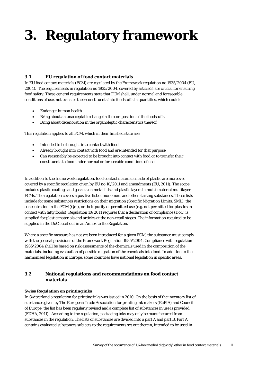# <span id="page-10-0"></span>**3. Regulatory framework**

## <span id="page-10-1"></span>**3.1 EU regulation of food contact materials**

In EU food contact materials (FCM) are regulated by the Framework regulation no 1935/2004 (EU, 2004). The requirements in regulation no 1935/2004, covered by article 3, are crucial for ensuring food safety. These general requirements state that FCM shall, under normal and foreseeable conditions of use, not transfer their constituents into foodstuffs in quantities, which could:

- Endanger human health
- Bring about an unacceptable change in the composition of the foodstuffs
- Bring about deterioration in the organoleptic characteristics thereof

This regulation applies to all FCM, which in their finished state are:

- Intended to be brought into contact with food
- Already brought into contact with food and are intended for that purpose
- Can reasonably be expected to be brought into contact with food or to transfer their constituents to food under normal or foreseeable conditions of use

In addition to the frame work regulation, food contact materials made of plastic are moreover covered by a specific regulation given by EU no 10/2011 and amendments (EU, 2011). The scope includes plastic coatings and gaskets on metal lids and plastic layers in multi-material multilayer FCMs. The regulation covers a positive list of monomers and other starting substances. These lists include for some substances restrictions on their migration (Specific Migration Limits, SML), the concentration in the FCM (Qm), or their purity or permitted use (e.g. not permitted for plastics in contact with fatty foods). Regulation 10/2011 requires that a declaration of compliance (DoC) is supplied for plastic materials and articles at the non-retail stages. The information required to be supplied in the DoC is set out in an Annex to the Regulation.

Where a specific measure has not yet been introduced for a given FCM, the substance must comply with the general provisions of the Framework Regulation 1935/2004. Compliance with regulation 1935/2004 shall be based on risk assessments of the chemicals used in the composition of the materials, including evaluation of possible migration of the chemicals into food. In addition to the harmonised legislation in Europe, some countries have national legislation in specific areas.

## <span id="page-10-2"></span>**3.2 National regulations and recommendations on food contact materials**

#### **Swiss Regulation on printing inks**

In Switzerland a regulation for printing inks was issued in 2010. On the basis of the inventory list of substances given by The European Trade Association for printing ink makers (EuPIA) and Council of Europe, the list has been regularly revised and a complete list of substances in use is provided (FDHA, 2011). According to the regulation, packaging inks may only be manufactured from substances in the regulation. The lists of substances are divided into a part A and part B. Part A contains evaluated substances subjects to the requirements set out therein, intended to be used in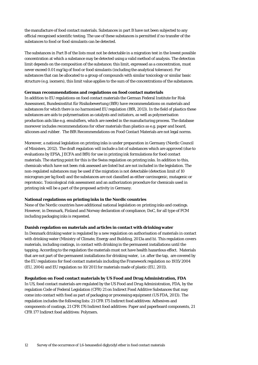the manufacture of food contact materials. Substances in part B have not been subjected to any official recognised scientific testing. The use of these substances is permitted if no transfer of the substances to food or food simulants can be detected.

The substances in Part B of the lists must not be detectable in a migration test in the lowest possible concentration at which a substance may be detected using a valid method of analysis. The detection limit depends on the composition of the substance; this limit, expressed as a concentration, must never exceed 0.01 mg/kg of food or food simulants (including the analytical tolerance). For substances that can be allocated to a group of compounds with similar toxicology or similar basic structure (e.g. isomers), this limit value applies to the sum of the concentrations of the substances.

#### **German recommendations and regulations on food contact materials**

In addition to EU regulations on food contact materials the German Federal Institute for Risk Assessment, Bundesinstitut für Risikobewertung (BfR) have recommendations on materials and substances for which there is no harmonised EU regulation (BfR, 2013). In the field of plastics these substances are aids to polymerisation as catalysts and initiators, as well as polymerisation production aids like e.g. emulsifiers, which are needed in the manufacturing process. The database moreover includes recommendations for other materials than plastics as e.g. paper and board, silicones and rubber. The BfR Recommendations on Food Contact Materials are not legal norms.

Moreover, a national legislation on printing inks is under preparation in Germany (Nordic Council of Ministers, 2012). The draft regulation will include a list of substances which are approved (due to evaluations by EFSA, JECFA and BfR) for use in printing ink formulations for food contact materials. The starting point for this is the Swiss regulation on printing inks. In addition to this, chemicals which have not been risk assessed are listed but are not included in the legislation. The non-regulated substances may be used if the migration is not detectable (detection limit of 10 microgram per kg food) and the substances are not classified as either carcinogenic, mutagenic or reprotoxic. Toxicological risk assessment and an authorization procedure for chemicals used in printing ink will be a part of the proposed activity in Germany.

#### **National regulations on printing inks in the Nordic countries**

None of the Nordic countries have additional national legislation on printing inks and coatings. However, in Denmark, Finland and Norway declaration of compliance, DoC, for all type of FCM including packaging inks is requested.

#### **Danish regulation on materials and articles in contact with drinking water**

In Denmark drinking water is regulated by a new regulation on authorisation of materials in contact with drinking water (Ministry of Climate, Energy and Building, 2013a and b). This regulation covers materials, including coatings, in contact with drinking in the permanent installations until the tapping. According to the regulation the materials must not have health hazardous effect. Materials that are not part of the permanent installations for drinking water, i.e. after the tap, are covered by the EU regulations for food contact materials including the Framework regulation no 1935/2004 (EU, 2004) and EU regulation no 10/2011 for materials made of plastic (EU, 2011).

#### **Regulation on Food contact materials by US Food and Drug Administration, FDA**

In US, food contact materials are regulated by the US Food and Drug Administration, FDA, by the regulation Code of Federal Legislation (CFR) 21 on Indirect Food Additive Substances that may come into contact with food as part of packaging or processing equipment (US FDA, 2013). The regulation includes the following lists: 21 CFR 175 Indirect food additives: Adhesives and components of coatings, 21 CFR 176 Indirect food additives: Paper and paperboard components, 21 CFR 177 Indirect food additives: Polymers.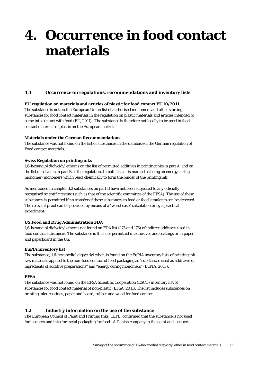# <span id="page-12-0"></span>**4. Occurrence in food contact materials**

## <span id="page-12-1"></span>**4.1 Occurrence on regulations, recommendations and inventory lists**

#### **EU regulation on materials and articles of plastic for food contact EU 10/2011.**

The substance is not on the European Union list of authorised monomers and other starting substances for food contact materials in the regulation on plastic materials and articles intended to come into contact with food (EU, 2011). The substance is therefore not legally to be used in food contact materials of plastic on the European market.

#### **Materials under the German Recommendations**

The substance was not found on the list of substances in the database of the German regulation of Food contact materials.

#### **Swiss Regulation on printing inks**

1,6-hexandiol diglycidyl ether is on the list of permitted additives in printing inks in part A and on the list of solvents in part B of the regulation. In both lists it is marked as being an energy curing monomer (monomers which react chemically to form the binder of the printing ink).

As mentioned in chapter 3.2 substances on part B have not been subjected to any officially recognised scientific testing (such as that of the scientific committee of the EFSA). The use of these substances is permitted if no transfer of these substances to food or food simulants can be detected. The relevant proof can be provided by means of a "worst case" calculation or by a practical experiment.

#### **US Food and Drug Administration FDA**

1,6-hexandiol diglycidyl ether is not found on FDA list (175 and 176) of indirect additives used in food contact substances. The substance is thus not permitted in adhesives and coatings or in paper and paperboard in the US.

#### **EuPIA inventory list**

The substance, 1,6-hexanediol diglycidyl ether, is found on the EuPIA inventory lists of printing ink raw materials applied to the non-food contact of food packaging as "substances used as additives or ingredients of additive preparations" and "energy curing monomers" (EuPIA, 2013).

#### **EFSA**

The substance was not found on the EFSA Scientific Cooperation (ESCO) inventory list of substances for food contact material of non-plastic (EFSA, 2011). The list includes substances on printing inks, coatings, paper and board, rubber and wood for food contact.

#### <span id="page-12-2"></span>**4.2 Industry information on the use of the substance**

The European Council of Paint and Printing Inks, CEPE, confirmed that the substance is not used for lacquers and inks for metal packaging for food. A Danish company in the paint and lacquers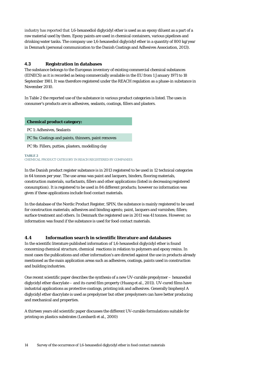industry has reported that 1,6-hexanediol diglycidyl ether is used as an epoxy diluent as a part of a raw material used by them. Epoxy paints are used in chemical containers, various pipelines and drinking water tanks. The company use 1,6-hexanediol diglycidyl ether in a quantity of 800 kg/year in Denmark (personal communication to the Danish Coatings and Adhesives Association, 2013).

## <span id="page-13-0"></span>**4.3 Registration in databases**

The substance belongs to the European inventory of existing commercial chemical substances (EINECS) as it is recorded as being commercially available in the EU from 1 January 1971 to 18 September 1981. It was therefore registered under the REACH regulation as a phase-in substance in November 2010.

In Table 2 the reported use of the substance in various product categories is listed. The uses in consumer's products are in adhesives, sealants, coatings, fillers and plasters.

**Chemical product category:**

PC 1: Adhesives, Sealants

PC 9a: Coatings and paints, thinners, paint removes

PC 9b: Fillers, putties, plasters, modelling clay

#### **TABLE 2** CHEMICAL PRODUCT CATEGORY IN REACH REGISTERED BY COMPANIES

In the Danish product register substance is in 2013 registered to be used in 12 technical categories in 64 tonnes per year. The use areas was paint and lacquers, binders, flooring materials, construction materials, surfactants, fillers and other applications (listed in decreasing registered consumption). It is registered to be used in 84 different products; however no information was given if these applications include food contact materials.

In the database of the Nordic Product Register, SPIN, the substance is mainly registered to be used for construction materials; adhesives and binding agents; paint, lacquers and varnishes; fillers; surface treatment and others. In Denmark the registered use in 2011 was 41 tonnes. However; no information was found if the substance is used for food contact materials.

#### <span id="page-13-1"></span>**4.4 Information search in scientific literature and databases**

In the scientific literature published information of 1,6-hexanediol diglycidyl ether is found concerning chemical structure, chemical reactions in relation to polymers and epoxy resins. In most cases the publications and other information's are directed against the use in products already mentioned as the main application areas such as adhesives, coatings, paints used in construction and building industries.

One recent scientific paper describes the synthesis of a new UV-curable prepolymer – hexanediol diglycidyl ether diacrylate – and its cured film property (Huang et al., 2011). UV-cured films have industrial applications as protective coatings, printing ink and adhesives. Generally bisphenyl A diglycidyl ether diacrylate is used as prepolymer but other prepolymers can have better producing and mechanical and properties.

A thirteen years old scientific paper discusses the different UV-curable formulations suitable for printing on plastics substrates (Lombardi et al., 2000)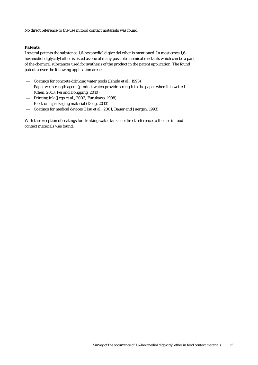No direct reference to the use in food contact materials was found.

#### **Patents**

I several patents the substance 1,6-hexanediol diglycidyl ether is mentioned. In most cases 1,6 hexanediol diglycidyl ether is listed as one of many possible chemical reactants which can be a part of the chemical substances used for synthesis of the product in the patent application. The found patents cover the following application areas:

- Coatings for concrete drinking water pools (Ishida et al., 1993)
- Paper wet strength agent (product which provide strength to the paper when it is wetted (Chen, 2013; Pei and Dongping, 2010)
- Printing ink (Jego et al., 2003; Furukawa, 1998)
- Electronic packaging material (Deng, 2013)
- Coatings for medical devices (Hsu et al., 2001; Bauer and Juergen, 1993)

With the exception of coatings for drinking water tanks no direct reference to the use in food contact materials was found.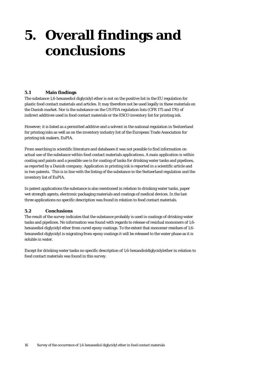# <span id="page-15-0"></span>**5. Overall findings and conclusions**

## <span id="page-15-1"></span>**5.1 Main findings**

The substance 1,6-hexanediol diglycidyl ether is not on the positive list in the EU regulation for plastic food contact materials and articles. It may therefore not be used legally in these materials on the Danish market. Nor is the substance on the US FDA regulation lists (CFR 175 and 176) of indirect additives used in food contact materials or the ESCO inventory list for printing ink.

However; it is listed as a permitted additive and a solvent in the national regulation in Switzerland for printing inks as well as on the inventory industry list of the European Trade Association for printing ink makers, EuPIA.

From searching in scientific literature and databases it was not possible to find information on actual use of the substance within food contact materials applications. A main application is within coating and paints and a possible use is for coating of tanks for drinking water tanks and pipelines, as reported by a Danish company. Application in printing ink is reported in a scientific article and in two patents. This is in line with the listing of the substance in the Switzerland regulation and the inventory list of EuPIA.

In patent applications the substance is also mentioned in relation to drinking water tanks, paper wet strength agents, electronic packaging materials and coatings of medical devices. In the last three applications no specific description was found in relation to food contact materials.

#### <span id="page-15-2"></span>**5.2 Conclusions**

The result of the survey indicates that the substance probably is used in coatings of drinking water tanks and pipelines. No information was found with regards to release of residual monomers of 1,6 hexanediol diglycidyl ether from cured epoxy coatings. To the extent that monomer residues of 1,6 hexanediol diglycidyl is migrating from epoxy coatings it will be released to the water phase as it is soluble in water.

Except for drinking water tanks no specific description of 1,6-hexandioldiglycidylether in relation to food contact materials was found in this survey.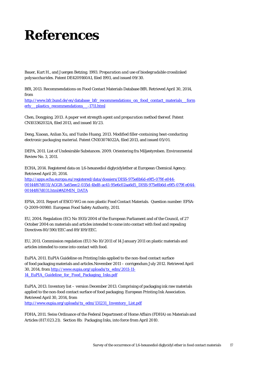# <span id="page-16-0"></span>**References**

Bauer, Kurt H., and Juergen Betzing. 1993. *Preparation and use of biodegradable crosslinked polysaccharides.* Patent DE4209160A1, filed 1993, and issued 09/30.

BfR, 2013. Recommendations on Food Contact Materials Database BfR. Retrieved April 30, 2014, from

[http://www.bfr.bund.de/en/database\\_bfr\\_recommendations\\_on\\_food\\_contact\\_materials\\_\\_form](http://www.bfr.bund.de/en/database_bfr_recommendations_on_food_contact_materials__formerly__plastics_recommendations__-1711.html) [erly\\_\\_plastics\\_recommendations\\_\\_-1711.html](http://www.bfr.bund.de/en/database_bfr_recommendations_on_food_contact_materials__formerly__plastics_recommendations__-1711.html)

Chen, Dongping. 2013. *A paper wet strength agent and preparation method thereof.* Patent CN103362032A, filed 2013, and issued 10/23.

Deng, Xiaoan, Anlian Xu, and Yunbo Huang. 2013. *Modified filler-containing heat-conducting electronic packaging material.* Patent CN103074022A, filed 2013, and issued 05/01.

DEPA, 2011. List of Undesirable Substances. 2009. Orientering fra Miljøstyrelsen. Environmental Review No. 3, 2011.

ECHA, 2014. Registered data on 1,6-hexanediol diglycidylether at European Chemical Agency. Retrieved April 20, 2014. [http://apps.echa.europa.eu/registered/data/dossiers/DISS-975e8b6d-e9f5-079f-e044-](http://apps.echa.europa.eu/registered/data/dossiers/DISS-975e8b6d-e9f5-079f-e044-00144f67d031/AGGR-5a65eec2-035d-4bd8-ac41-95e6c02aa6d5_DISS-975e8b6d-e9f5-079f-e044-00144f67d031.html%23ADMIN_DATA) [00144f67d031/AGGR-5a65eec2-035d-4bd8-ac41-95e6c02aa6d5\\_DISS-975e8b6d-e9f5-079f-e044-](http://apps.echa.europa.eu/registered/data/dossiers/DISS-975e8b6d-e9f5-079f-e044-00144f67d031/AGGR-5a65eec2-035d-4bd8-ac41-95e6c02aa6d5_DISS-975e8b6d-e9f5-079f-e044-00144f67d031.html%23ADMIN_DATA) [00144f67d031.html#ADMIN\\_DATA](http://apps.echa.europa.eu/registered/data/dossiers/DISS-975e8b6d-e9f5-079f-e044-00144f67d031/AGGR-5a65eec2-035d-4bd8-ac41-95e6c02aa6d5_DISS-975e8b6d-e9f5-079f-e044-00144f67d031.html%23ADMIN_DATA)

EFSA, 2011. Report of ESCO WG on non-plastic Food Contact Materials. Question number: EFSA-Q-2009-00980. European Food Safety Authority, 2011.

EU, 2004. Regulation (EC) No 1935/2004 of the European Parliament and of the Council, of 27 October 2004 on materials and articles intended to come into contact with food and repealing Directives 80/590/EEC and 89/109/EEC.

EU, 2011. Commission regulation (EU) No 10/2011 of 14 January 2011 on plastic materials and articles intended to come into contact with food.

EuPIA, 2011. EuPIA Guideline on Printing Inks applied to the non-food contact surface of food packaging materials and articles.November 2011 – corrigendum July 2012. Retrieved April 30, 2014, from [http://www.eupia.org/uploads/tx\\_edm/2011-11-](http://www.eupia.org/uploads/tx_edm/2011-11-14_EuPIA_Guideline_for_Food_Packaging_Inks_-_November_2011__corr_July_2012.pdf) 14 EuPIA Guideline for Food Packaging Inks.pdf

EuPIA, 2013. Inventory list – version December 2013. Comprising of packaging ink raw materials applied to the non-food contact surface of food packaging. European Printing Ink Association. Retrieved April 30, 2014, from [http://www.eupia.org/uploads/tx\\_edm/131231\\_Inventory\\_List.pdf](http://www.eupia.org/uploads/tx_edm/131231_Inventory_List.pdf)

FDHA, 2011. Swiss Ordinance of the Federal Department of Home Affairs (FDHA) on Materials and Articles (817.023.21). Section 8b: Packaging Inks, into force from April 2010.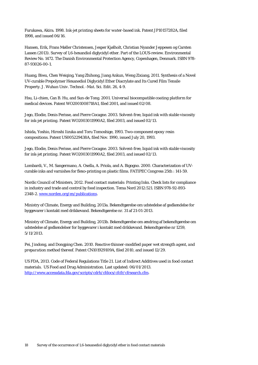Furukawa, Akira. 1998. *Ink-jet printing sheets for water-based ink.* Patent JP10157282A, filed 1998, and issued 06/16.

Hansen, Erik, Frans Møller Christensen, Jesper Kjølholt, Christian Nyander Jeppesen og Carsten Lassen (2013). Survey of 1,6-hexandiol diglycidyl ether. Part of the LOUS-review. Environmental Review No. 1472. The Danish Environmental Protection Agency, Copenhagen, Denmark. ISBN 978- 87-93026-00-1.

Huang, Biwu, Chen Weiqing, Yang Zhihong, Jiang Ankun, Weng Zixiang, 2011. Synthesis of a Novel UV-curable Prepolymer Hexanediol Diglycidyl Ether Diacrylate and Its Cured Film Tensile Property. *J. Wuhan Univ. Technol. -Mat. Sci. Edit.* 26, 4-9.

Hsu, Li-chien, Can B. Hu, and Sun-de Tong. 2001. *Universal biocompatible coating platform for medical devices.* Patent WO2001008718A1, filed 2001, and issued 02/08.

Jego, Elodie, Denis Perisse, and Pierre Cocagne. 2003. *Solvent-free, liquid ink with stable viscosity for ink-jet printing.* Patent WO2003011990A2, filed 2003, and issued 02/13.

Ishida, Yoshio, Hiroshi Iizuka and Toru Tomoshige, 1993. *Two-component epoxy resin compositions*. Patent US005229438A, filed Nov. 1990, issued July 20, 1993.

Jego, Elodie, Denis Perisse, and Pierre Cocagne. 2003. *Solvent-free, liquid ink with stable viscosity for ink-jet printing.* Patent WO2003011990A2, filed 2003, and issued 02/13.

Lombardi, V., M. Sangermano, A. Osella, A. Priola, and A. Bigogno. 2000. Characterization of UVcurable inks and varnishes for flexo-printing on plastic films. *FATIPEC Congress* 25th : 141-59.

Nordic Council of Ministers, 2012. Food contact materials: Printing Inks. Check lists for compliance in industry and trade and control by food inspection. Tema Nord 2012:521. ISBN 978-92-893- 2348-2. [www.norden.org/en/publications.](http://www.norden.org/en/publications)

Ministry of Climate, Energy and Building, 2013a. Bekendtgørelse om udstedelse af godkendelse for byggevarer i kontakt med drikkevand. Bekendtgørelse nr. 31 af 21-01-2013.

Ministry of Climate, Energy and Building, 2013b. Bekendtgørelse om ændring af bekendtgørelse om udstedelse af godkendelser for byggevarer i kontakt med drikkevand. Bekendtgørelse nr 1259, 5/11/2013.

Pei, Jindong, and Dongping Chen. 2010. *Reactive thinner-modified paper wet strength agent, and preparation method thereof.* Patent CN101929109A, filed 2010, and issued 12/29.

US FDA, 2013. Code of Federal Regulations Title 21. List of Indirect Additives used in food contact materials. US Food and Drug Administration. Last updated: 06/01/2013. [http://www.accessdata.fda.gov/scripts/cdrh/cfdocs/cfcfr/cfrsearch.cfm.](http://www.accessdata.fda.gov/scripts/cdrh/cfdocs/cfcfr/cfrsearch.cfm)